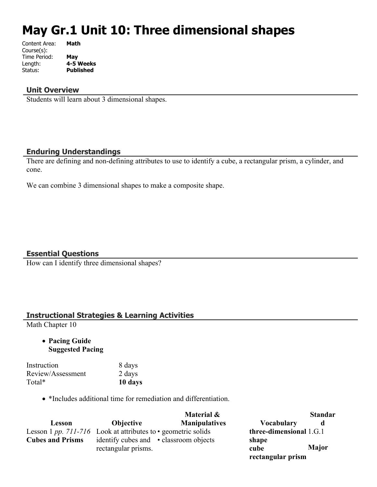# **May Gr.1 Unit 10: Three dimensional shapes**

| Content Area: | Math             |
|---------------|------------------|
| Course(s):    |                  |
| Time Period:  | May              |
| Length:       | 4-5 Weeks        |
| Status:       | <b>Published</b> |
|               |                  |

#### **Unit Overview**

Students will learn about 3 dimensional shapes.

### **Enduring Understandings**

There are defining and non-defining attributes to use to identify a cube, a rectangular prism, a cylinder, and cone.

We can combine 3 dimensional shapes to make a composite shape.

#### **Essential Questions**

How can I identify three dimensional shapes?

### **Instructional Strategies & Learning Activities**

Math Chapter 10

 **Pacing Guide Suggested Pacing**

| Instruction       | 8 days  |
|-------------------|---------|
| Review/Assessment | 2 days  |
| Total*            | 10 days |

\*Includes additional time for remediation and differentiation.

|                         |                                                                     | Material &           |                         | <b>Standar</b> |
|-------------------------|---------------------------------------------------------------------|----------------------|-------------------------|----------------|
| Lesson                  | <b>Objective</b>                                                    | <b>Manipulatives</b> | <b>Vocabulary</b>       | d              |
|                         | Lesson 1 pp. 711-716 Look at attributes to $\cdot$ geometric solids |                      | three-dimensional 1.G.1 |                |
| <b>Cubes and Prisms</b> | identify cubes and • classroom objects<br>rectangular prisms.       |                      | shape<br>cube           | <b>Major</b>   |
|                         |                                                                     |                      | rectangular prism       |                |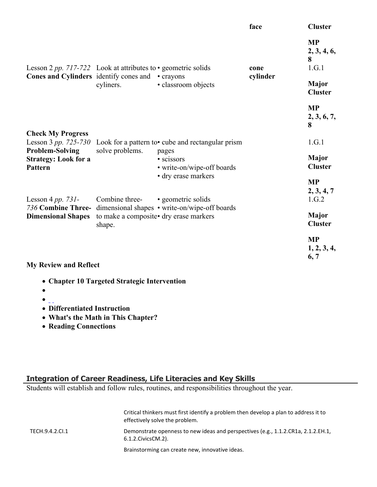|                                                                         |                                                                                  |                                                                                                             | face                                   | <b>Cluster</b>                   |
|-------------------------------------------------------------------------|----------------------------------------------------------------------------------|-------------------------------------------------------------------------------------------------------------|----------------------------------------|----------------------------------|
| <b>Cones and Cylinders</b> identify cones and                           | Lesson 2 pp. 717-722 Look at attributes to $\cdot$ geometric solids<br>• crayons | cone<br>cylinder                                                                                            | <b>MP</b><br>2, 3, 4, 6,<br>8<br>1.G.1 |                                  |
|                                                                         | cyliners.                                                                        | · classroom objects                                                                                         |                                        | <b>Major</b><br><b>Cluster</b>   |
|                                                                         |                                                                                  |                                                                                                             |                                        | <b>MP</b><br>2, 3, 6, 7,<br>8    |
| <b>Check My Progress</b><br>Lesson 3 pp. 725-730                        |                                                                                  | Look for a pattern to <b>cube</b> and rectangular prism                                                     |                                        | 1.G.1                            |
| <b>Problem-Solving</b><br><b>Strategy: Look for a</b><br><b>Pattern</b> | solve problems.                                                                  | pages<br>• scissors<br>• write-on/wipe-off boards                                                           |                                        | <b>Major</b><br><b>Cluster</b>   |
| Lesson 4 pp. $731-$                                                     | Combine three-                                                                   | • dry erase markers<br>• geometric solids                                                                   |                                        | <b>MP</b><br>2, 3, 4, 7<br>1.G.2 |
| <b>Dimensional Shapes</b>                                               | shape.                                                                           | 736 Combine Three- dimensional shapes • write-on/wipe-off boards<br>to make a composite • dry erase markers |                                        | Major<br><b>Cluster</b>          |
| M. Devices and Deflect                                                  |                                                                                  |                                                                                                             |                                        | <b>MP</b><br>1, 2, 3, 4,<br>6, 7 |

#### **My Review and Reflect**

- **Chapter 10 Targeted Strategic Intervention**
- $\bullet$
- $\bullet$
- **Differentiated Instruction**
- **What's the Math in This Chapter?**
- **Reading Connections**

#### **Integration of Career Readiness, Life Literacies and Key Skills**

Students will establish and follow rules, routines, and responsibilities throughout the year.

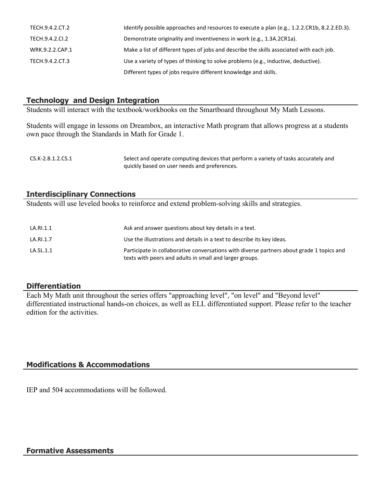| TECH.9.4.2.CT.2 | Identify possible approaches and resources to execute a plan (e.g., 1.2.2.CR1b, 8.2.2.ED.3). |
|-----------------|----------------------------------------------------------------------------------------------|
| TECH.9.4.2.Cl.2 | Demonstrate originality and inventiveness in work (e.g., 1.3A.2CR1a).                        |
| WRK.9.2.2.CAP.1 | Make a list of different types of jobs and describe the skills associated with each job.     |
| TECH.9.4.2.CT.3 | Use a variety of types of thinking to solve problems (e.g., inductive, deductive).           |
|                 | Different types of jobs require different knowledge and skills.                              |

### **Technology and Design Integration**

Students will interact with the textbook/workbooks on the Smartboard throughout My Math Lessons.

Students will engage in lessons on Dreambox, an interactive Math program that allows progress at a students own pace through the Standards in Math for Grade 1.

```
CS.K-2.8.1.2.CS.1 Select and operate computing devices that perform a variety of tasks accurately and
                    quickly based on user needs and preferences.
```
#### **Interdisciplinary Connections**

Students will use leveled books to reinforce and extend problem-solving skills and strategies.

| LA.RI.1.1 | Ask and answer questions about key details in a text.                                                                                                |
|-----------|------------------------------------------------------------------------------------------------------------------------------------------------------|
| LA.RI.1.7 | Use the illustrations and details in a text to describe its key ideas.                                                                               |
| LA.SL.1.1 | Participate in collaborative conversations with diverse partners about grade 1 topics and<br>texts with peers and adults in small and larger groups. |

#### **Differentiation**

Each My Math unit throughout the series offers "approaching level", "on level" and "Beyond level" differentiated instructional hands-on choices, as well as ELL differentiated support. Please refer to the teacher edition for the activities.

#### **Modifications & Accommodations**

IEP and 504 accommodations will be followed.